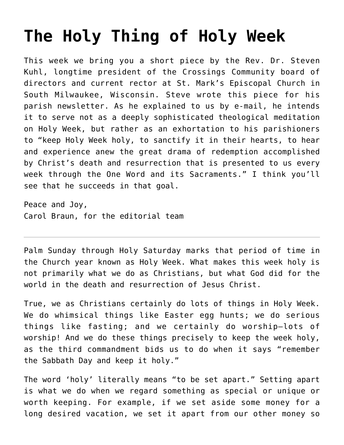## **[The Holy Thing of Holy Week](https://crossings.org/the-holy-thing-of-holy-week/)**

This week we bring you a short piece by the Rev. Dr. Steven Kuhl, longtime president of the Crossings Community board of directors and current rector at St. Mark's Episcopal Church in South Milwaukee, Wisconsin. Steve wrote this piece for his parish newsletter. As he explained to us by e-mail, he intends it to serve not as a deeply sophisticated theological meditation on Holy Week, but rather as an exhortation to his parishioners to "keep Holy Week holy, to sanctify it in their hearts, to hear and experience anew the great drama of redemption accomplished by Christ's death and resurrection that is presented to us every week through the One Word and its Sacraments." I think you'll see that he succeeds in that goal.

Peace and Joy, Carol Braun, for the editorial team

Palm Sunday through Holy Saturday marks that period of time in the Church year known as Holy Week. What makes this week holy is not primarily what we do as Christians, but what God did for the world in the death and resurrection of Jesus Christ.

True, we as Christians certainly do lots of things in Holy Week. We do whimsical things like Easter egg hunts; we do serious things like fasting; and we certainly do worship—lots of worship! And we do these things precisely to keep the week holy, as the third commandment bids us to do when it says "remember the Sabbath Day and keep it holy."

The word 'holy' literally means "to be set apart." Setting apart is what we do when we regard something as special or unique or worth keeping. For example, if we set aside some money for a long desired vacation, we set it apart from our other money so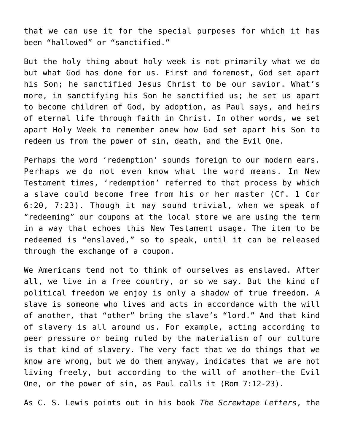that we can use it for the special purposes for which it has been "hallowed" or "sanctified."

But the holy thing about holy week is not primarily what we do but what God has done for us. First and foremost, God set apart his Son; he sanctified Jesus Christ to be our savior. What's more, in sanctifying his Son he sanctified us; he set us apart to become children of God, by adoption, as Paul says, and heirs of eternal life through faith in Christ. In other words, we set apart Holy Week to remember anew how God set apart his Son to redeem us from the power of sin, death, and the Evil One.

Perhaps the word 'redemption' sounds foreign to our modern ears. Perhaps we do not even know what the word means. In New Testament times, 'redemption' referred to that process by which a slave could become free from his or her master (Cf. 1 Cor 6:20, 7:23). Though it may sound trivial, when we speak of "redeeming" our coupons at the local store we are using the term in a way that echoes this New Testament usage. The item to be redeemed is "enslaved," so to speak, until it can be released through the exchange of a coupon.

We Americans tend not to think of ourselves as enslaved. After all, we live in a free country, or so we say. But the kind of political freedom we enjoy is only a shadow of true freedom. A slave is someone who lives and acts in accordance with the will of another, that "other" bring the slave's "lord." And that kind of slavery is all around us. For example, acting according to peer pressure or being ruled by the materialism of our culture is that kind of slavery. The very fact that we do things that we know are wrong, but we do them anyway, indicates that we are not living freely, but according to the will of another—the Evil One, or the power of sin, as Paul calls it (Rom 7:12-23).

As C. S. Lewis points out in his book *The Screwtape Letters*, the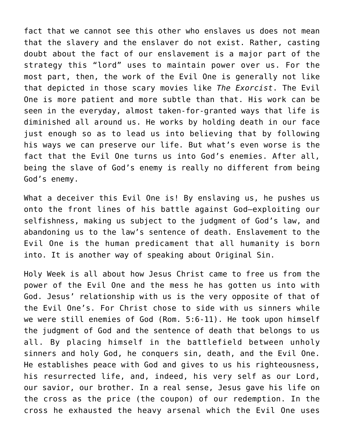fact that we cannot see this other who enslaves us does not mean that the slavery and the enslaver do not exist. Rather, casting doubt about the fact of our enslavement is a major part of the strategy this "lord" uses to maintain power over us. For the most part, then, the work of the Evil One is generally not like that depicted in those scary movies like *The Exorcist*. The Evil One is more patient and more subtle than that. His work can be seen in the everyday, almost taken-for-granted ways that life is diminished all around us. He works by holding death in our face just enough so as to lead us into believing that by following his ways we can preserve our life. But what's even worse is the fact that the Evil One turns us into God's enemies. After all, being the slave of God's enemy is really no different from being God's enemy.

What a deceiver this Evil One is! By enslaving us, he pushes us onto the front lines of his battle against God—exploiting our selfishness, making us subject to the judgment of God's law, and abandoning us to the law's sentence of death. Enslavement to the Evil One is the human predicament that all humanity is born into. It is another way of speaking about Original Sin.

Holy Week is all about how Jesus Christ came to free us from the power of the Evil One and the mess he has gotten us into with God. Jesus' relationship with us is the very opposite of that of the Evil One's. For Christ chose to side with us sinners while we were still enemies of God (Rom. 5:6-11). He took upon himself the judgment of God and the sentence of death that belongs to us all. By placing himself in the battlefield between unholy sinners and holy God, he conquers sin, death, and the Evil One. He establishes peace with God and gives to us his righteousness, his resurrected life, and, indeed, his very self as our Lord, our savior, our brother. In a real sense, Jesus gave his life on the cross as the price (the coupon) of our redemption. In the cross he exhausted the heavy arsenal which the Evil One uses